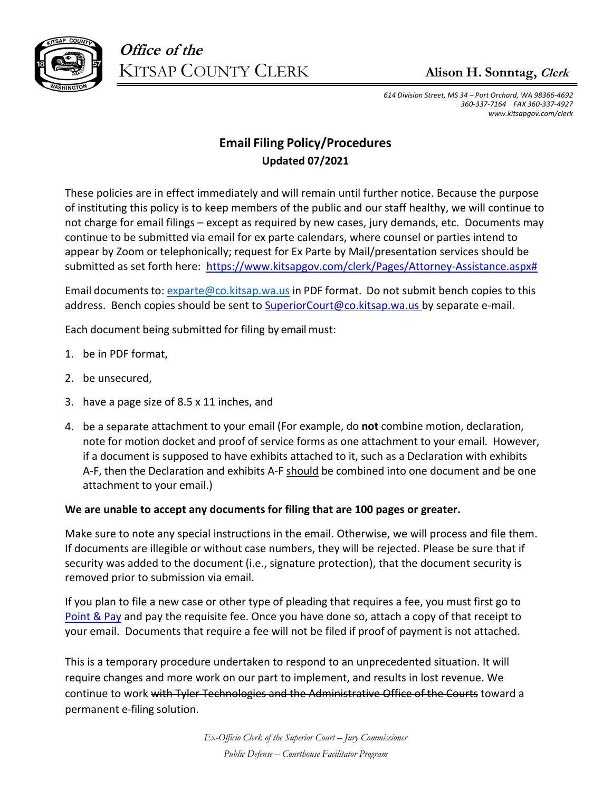

**Office of the** KITSAP COUNTY CLERK **David T Lewis III,Clerk** 

*614 Division Street, MS 34 – Port Orchard, WA 98366‐4692 360‐337‐7164 FAX 360‐337‐4927 www.kitsapgov.com/clerk* 

## **E-MAIL FILING PROCEDURES Updated 03/2022**

These policies are in effect immediately and will remain until further notice.

Because the purpose of instituting this policy is to keep members of the public and our staff healthy, we will continue to not charge for email filings – except as required by new cases, jury demands, etc. Documents may continue to be submitted via email for ex parte calendars, where counsel or parties intend to appear by Zoom or telephonically; request for Ex Parte by Mail/ presentation services should be submitted as set forth here: https://www.kitsapgov.com/clerk/ Pages/Attorney-Assistance.aspx#, the \$30 ex parte by mail fee is REQUIRED.

If your filings are accepted, you will receive an e-mail in return. If your filings are rejected, you will receive an e-mail in return. I**f you do not receive an e-mail that confirms your submission, please contact our office and re-send your documents.** 

Email documents to: exparte@co.kitsap.wa.us in **PDF format**.

Do not submit bench copies to this address. Bench copies should be sent to SuperiorCourt@co.kitsap.wa.us by separate e‐mail.

We are unable to accept any documents for e-mail filing that are 100 pages or greater.

# **For information regarding your zoom hearing, please go to:**  https://www.kitsapgov.com/sc/Pages/remoteappearance.aspx

# **COMING TO THE COURTHOUSE IN PERSON**

#### **Updated 01/2022**

The Superior Court Clerk's Office is open and will remain open barring extreme circumstance. If you intend to attend court in person, or are in the courthouse for any reason we request that you please follow current rules and guidelines including:

- 1. You **may** be asked to wear a mask in certain circumstances but masks are no longer required.
- 2. **We require social distancing in the courthouse.** Specifically, in courtrooms there are marked locations where to sit to be properly distanced, please understand and utilize our social distancing guides to the best of your abilities.

*Ex-Officio Clerk of the Superior Court – Jury Commissioner* 

*Public Defense – Courthouse Facilitator Program*